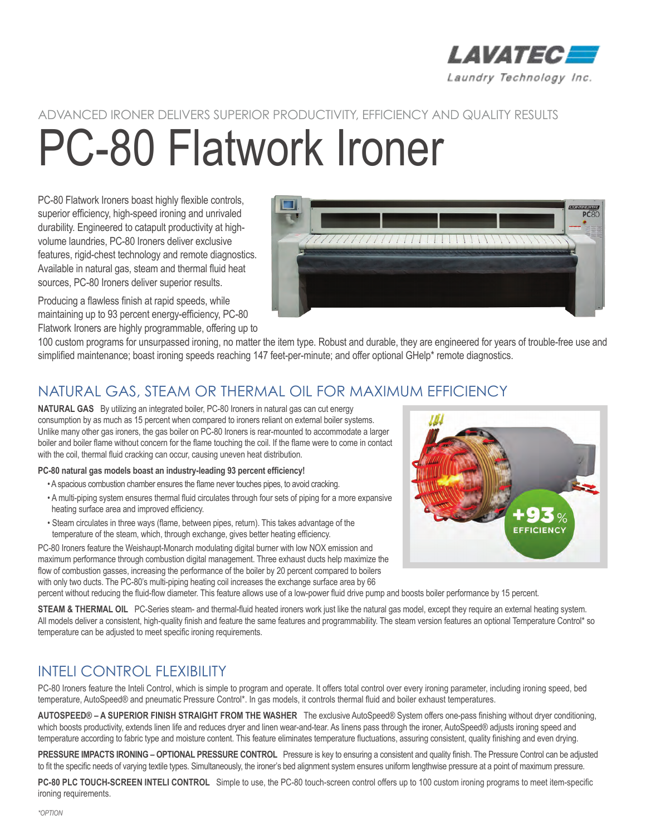

**PC8C** 

# ADVANCED IRONER DELIVERS SUPERIOR PRODUCTIVITY, EFFICIENCY AND QUALITY RESULTS PC-80 Flatwork Ironer

PC-80 Flatwork Ironers boast highly flexible controls, superior efficiency, high-speed ironing and unrivaled durability. Engineered to catapult productivity at highvolume laundries, PC-80 Ironers deliver exclusive features, rigid-chest technology and remote diagnostics. Available in natural gas, steam and thermal fluid heat sources, PC-80 Ironers deliver superior results.

77777771111111111

Producing a flawless finish at rapid speeds, while maintaining up to 93 percent energy-efficiency, PC-80 Flatwork Ironers are highly programmable, offering up to

100 custom programs for unsurpassed ironing, no matter the item type. Robust and durable, they are engineered for years of trouble-free use and simplified maintenance; boast ironing speeds reaching 147 feet-per-minute; and offer optional GHelp\* remote diagnostics.

## NATURAL GAS, STEAM OR THERMAL OIL FOR MAXIMUM EFFICIENCY

**NATURAL GAS** By utilizing an integrated boiler, PC-80 Ironers in natural gas can cut energy consumption by as much as 15 percent when compared to ironers reliant on external boiler systems. Unlike many other gas ironers, the gas boiler on PC-80 Ironers is rear-mounted to accommodate a larger boiler and boiler flame without concern for the flame touching the coil. If the flame were to come in contact with the coil, thermal fluid cracking can occur, causing uneven heat distribution.

#### **PC-80 natural gas models boast an industry-leading 93 percent efficiency!**

- A spacious combustion chamber ensures the flame never touches pipes, to avoid cracking.
- A multi-piping system ensures thermal fluid circulates through four sets of piping for a more expansive heating surface area and improved efficiency.
- Steam circulates in three ways (flame, between pipes, return). This takes advantage of the temperature of the steam, which, through exchange, gives better heating efficiency.

PC-80 Ironers feature the Weishaupt-Monarch modulating digital burner with low NOX emission and maximum performance through combustion digital management. Three exhaust ducts help maximize the flow of combustion gasses, increasing the performance of the boiler by 20 percent compared to boilers with only two ducts. The PC-80's multi-piping heating coil increases the exchange surface area by 66

W H93 **EFFICIENCY** 

percent without reducing the fluid-flow diameter. This feature allows use of a low-power fluid drive pump and boosts boiler performance by 15 percent.

**STEAM & THERMAL OIL** PC-Series steam- and thermal-fluid heated ironers work just like the natural gas model, except they require an external heating system. All models deliver a consistent, high-quality finish and feature the same features and programmability. The steam version features an optional Temperature Control\* so temperature can be adjusted to meet specific ironing requirements.

## INTELI CONTROL FLEXIBILITY

PC-80 Ironers feature the Inteli Control, which is simple to program and operate. It offers total control over every ironing parameter, including ironing speed, bed temperature, AutoSpeed® and pneumatic Pressure Control\*. In gas models, it controls thermal fluid and boiler exhaust temperatures.

**AUTOSPEED® – A SUPERIOR FINISH STRAIGHT FROM THE WASHER** The exclusive AutoSpeed® System offers one-pass finishing without dryer conditioning, which boosts productivity, extends linen life and reduces dryer and linen wear-and-tear. As linens pass through the ironer, AutoSpeed® adjusts ironing speed and temperature according to fabric type and moisture content. This feature eliminates temperature fluctuations, assuring consistent, quality finishing and even drying.

**PRESSURE IMPACTS IRONING – OPTIONAL PRESSURE CONTROL** Pressure is key to ensuring a consistent and quality finish. The Pressure Control can be adjusted to fit the specific needs of varying textile types. Simultaneously, the ironer's bed alignment system ensures uniform lengthwise pressure at a point of maximum pressure.

**PC-80 PLC TOUCH-SCREEN INTELI CONTROL** Simple to use, the PC-80 touch-screen control offers up to 100 custom ironing programs to meet item-specific ironing requirements.